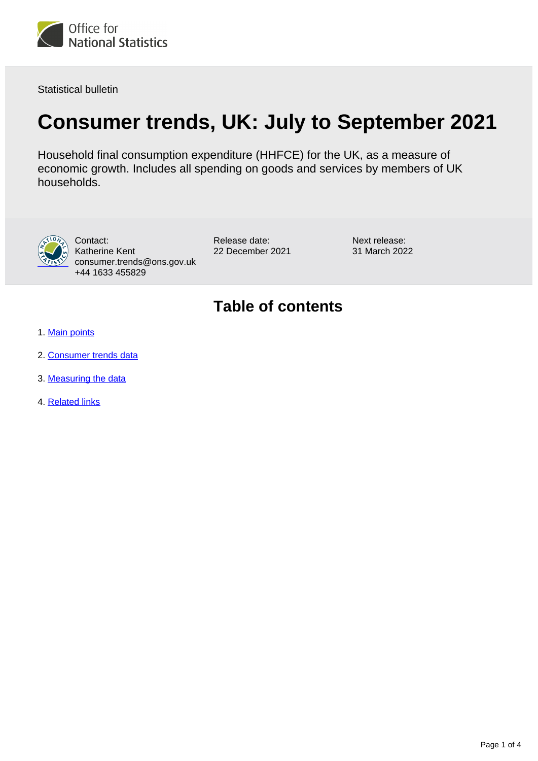

Statistical bulletin

# **Consumer trends, UK: July to September 2021**

Household final consumption expenditure (HHFCE) for the UK, as a measure of economic growth. Includes all spending on goods and services by members of UK households.



Contact: Katherine Kent consumer.trends@ons.gov.uk +44 1633 455829

Release date: 22 December 2021 Next release: 31 March 2022

### **Table of contents**

- 1. [Main points](#page-1-0)
- 2. [Consumer trends data](#page-1-1)
- 3. [Measuring the data](#page-2-0)
- 4. [Related links](#page-3-0)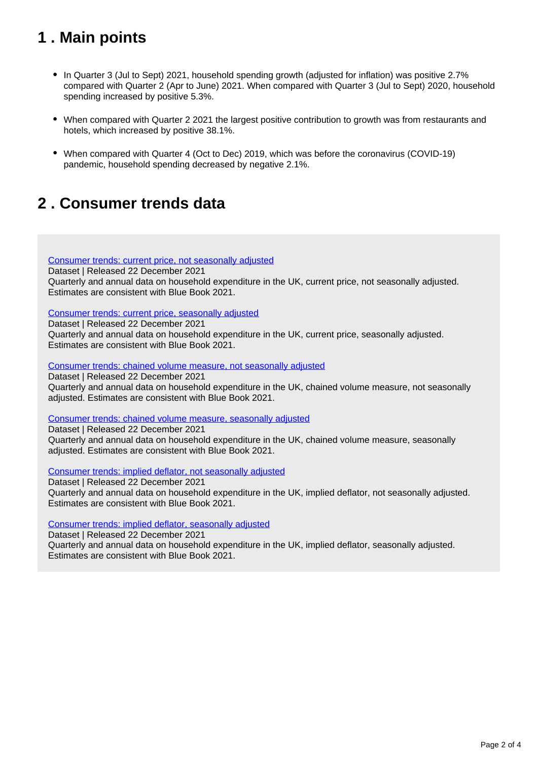## <span id="page-1-0"></span>**1 . Main points**

- In Quarter 3 (Jul to Sept) 2021, household spending growth (adjusted for inflation) was positive 2.7% compared with Quarter 2 (Apr to June) 2021. When compared with Quarter 3 (Jul to Sept) 2020, household spending increased by positive 5.3%.
- When compared with Quarter 2 2021 the largest positive contribution to growth was from restaurants and hotels, which increased by positive 38.1%.
- When compared with Quarter 4 (Oct to Dec) 2019, which was before the coronavirus (COVID-19) pandemic, household spending decreased by negative 2.1%.

### <span id="page-1-1"></span>**2 . Consumer trends data**

[Consumer trends: current price, not seasonally adjusted](https://www.ons.gov.uk/economy/nationalaccounts/satelliteaccounts/datasets/consumertrendscurrentpricenotseasonallyadjusted)

Dataset | Released 22 December 2021 Quarterly and annual data on household expenditure in the UK, current price, not seasonally adjusted. Estimates are consistent with Blue Book 2021.

[Consumer trends: current price, seasonally adjusted](https://www.ons.gov.uk/economy/nationalaccounts/satelliteaccounts/datasets/consumertrendscurrentpriceseasonallyadjusted)

Dataset | Released 22 December 2021

Quarterly and annual data on household expenditure in the UK, current price, seasonally adjusted. Estimates are consistent with Blue Book 2021.

[Consumer trends: chained volume measure, not seasonally adjusted](https://www.ons.gov.uk/economy/nationalaccounts/satelliteaccounts/datasets/consumertrendschainedvolumemeasurenotseasonallyadjusted)

Dataset | Released 22 December 2021

Quarterly and annual data on household expenditure in the UK, chained volume measure, not seasonally adjusted. Estimates are consistent with Blue Book 2021.

[Consumer trends: chained volume measure, seasonally adjusted](https://www.ons.gov.uk/economy/nationalaccounts/satelliteaccounts/datasets/consumertrendschainedvolumemeasureseasonallyadjusted)

Dataset | Released 22 December 2021 Quarterly and annual data on household expenditure in the UK, chained volume measure, seasonally adjusted. Estimates are consistent with Blue Book 2021.

[Consumer trends: implied deflator, not seasonally adjusted](https://www.ons.gov.uk/economy/nationalaccounts/satelliteaccounts/datasets/consumertrendsimplieddeflatornotseasonallyadjusted)

Dataset | Released 22 December 2021 Quarterly and annual data on household expenditure in the UK, implied deflator, not seasonally adjusted. Estimates are consistent with Blue Book 2021.

[Consumer trends: implied deflator, seasonally adjusted](https://www.ons.gov.uk/economy/nationalaccounts/satelliteaccounts/datasets/consumertrendsimplieddeflatorseasonallyadjusted)

Dataset | Released 22 December 2021

Quarterly and annual data on household expenditure in the UK, implied deflator, seasonally adjusted. Estimates are consistent with Blue Book 2021.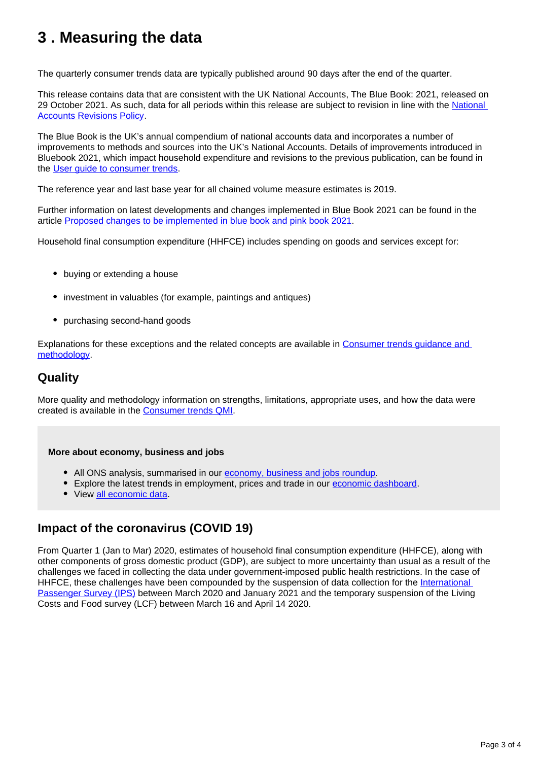### <span id="page-2-0"></span>**3 . Measuring the data**

The quarterly consumer trends data are typically published around 90 days after the end of the quarter.

This release contains data that are consistent with the UK National Accounts, The Blue Book: 2021, released on 29 October 2021. As such, data for all periods within this release are subject to revision in line with the [National](https://www.ons.gov.uk/methodology/methodologytopicsandstatisticalconcepts/revisions/revisionspoliciesforeconomicstatistics/nationalaccountsrevisionspolicyupdateddecember2017)  [Accounts Revisions Policy.](https://www.ons.gov.uk/methodology/methodologytopicsandstatisticalconcepts/revisions/revisionspoliciesforeconomicstatistics/nationalaccountsrevisionspolicyupdateddecember2017)

The Blue Book is the UK's annual compendium of national accounts data and incorporates a number of improvements to methods and sources into the UK's National Accounts. Details of improvements introduced in Bluebook 2021, which impact household expenditure and revisions to the previous publication, can be found in the [User guide to consumer trends.](https://www.ons.gov.uk/economy/nationalaccounts/satelliteaccounts/methodologies/consumertrendsuk)

The reference year and last base year for all chained volume measure estimates is 2019.

Further information on latest developments and changes implemented in Blue Book 2021 can be found in the article [Proposed changes to be implemented in blue book and pink book 2021](https://www.ons.gov.uk/economy/nationalaccounts/uksectoraccounts/articles/proposedchangestobeimplementedinbluebookandpinkbook2021/2021-02-01).

Household final consumption expenditure (HHFCE) includes spending on goods and services except for:

- buving or extending a house
- investment in valuables (for example, paintings and antiques)
- purchasing second-hand goods

Explanations for these exceptions and the related concepts are available in [Consumer trends guidance and](https://www.ons.gov.uk/economy/nationalaccounts/satelliteaccounts/qmis/consumertrendsqmi)  [methodology.](https://www.ons.gov.uk/economy/nationalaccounts/satelliteaccounts/qmis/consumertrendsqmi)

### **Quality**

More quality and methodology information on strengths, limitations, appropriate uses, and how the data were created is available in the [Consumer trends QMI.](https://www.ons.gov.uk/economy/nationalaccounts/satelliteaccounts/methodologies/consumertrendsqmi)

#### **More about economy, business and jobs**

- All ONS analysis, summarised in our [economy, business and jobs roundup.](https://www.ons.gov.uk/economy/economicoutputandproductivity/output/articles/ukeconomylatest/2021-01-25)
- Explore the latest trends in employment, prices and trade in our [economic dashboard.](https://www.ons.gov.uk/economy/nationalaccounts/articles/dashboardunderstandingtheukeconomy/2017-02-22)
- View [all economic data](https://www.ons.gov.uk/economy/datalist?filter=datasets).

### **Impact of the coronavirus (COVID 19)**

From Quarter 1 (Jan to Mar) 2020, estimates of household final consumption expenditure (HHFCE), along with other components of gross domestic product (GDP), are subject to more uncertainty than usual as a result of the challenges we faced in collecting the data under government-imposed public health restrictions. In the case of HHFCE, these challenges have been compounded by the suspension of data collection for the International [Passenger Survey \(IPS\)](https://www.ons.gov.uk/surveys/informationforhouseholdsandindividuals/householdandindividualsurveys/internationalpassengersurvey) between March 2020 and January 2021 and the temporary suspension of the Living Costs and Food survey (LCF) between March 16 and April 14 2020.